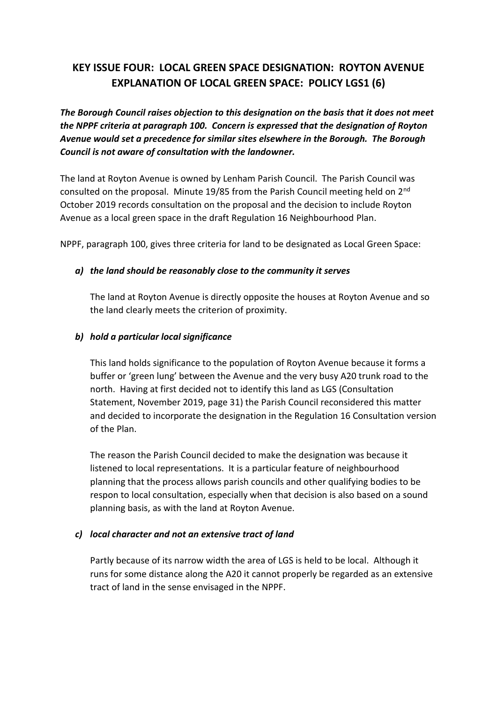## **KEY ISSUE FOUR: LOCAL GREEN SPACE DESIGNATION: ROYTON AVENUE EXPLANATION OF LOCAL GREEN SPACE: POLICY LGS1 (6)**

*The Borough Council raises objection to this designation on the basis that it does not meet the NPPF criteria at paragraph 100. Concern is expressed that the designation of Royton Avenue would set a precedence for similar sites elsewhere in the Borough. The Borough Council is not aware of consultation with the landowner.*

The land at Royton Avenue is owned by Lenham Parish Council. The Parish Council was consulted on the proposal. Minute 19/85 from the Parish Council meeting held on 2nd October 2019 records consultation on the proposal and the decision to include Royton Avenue as a local green space in the draft Regulation 16 Neighbourhood Plan.

NPPF, paragraph 100, gives three criteria for land to be designated as Local Green Space:

## *a) the land should be reasonably close to the community it serves*

The land at Royton Avenue is directly opposite the houses at Royton Avenue and so the land clearly meets the criterion of proximity.

## *b) hold a particular local significance*

This land holds significance to the population of Royton Avenue because it forms a buffer or 'green lung' between the Avenue and the very busy A20 trunk road to the north. Having at first decided not to identify this land as LGS (Consultation Statement, November 2019, page 31) the Parish Council reconsidered this matter and decided to incorporate the designation in the Regulation 16 Consultation version of the Plan.

The reason the Parish Council decided to make the designation was because it listened to local representations. It is a particular feature of neighbourhood planning that the process allows parish councils and other qualifying bodies to be respon to local consultation, especially when that decision is also based on a sound planning basis, as with the land at Royton Avenue.

## *c) local character and not an extensive tract of land*

Partly because of its narrow width the area of LGS is held to be local. Although it runs for some distance along the A20 it cannot properly be regarded as an extensive tract of land in the sense envisaged in the NPPF.